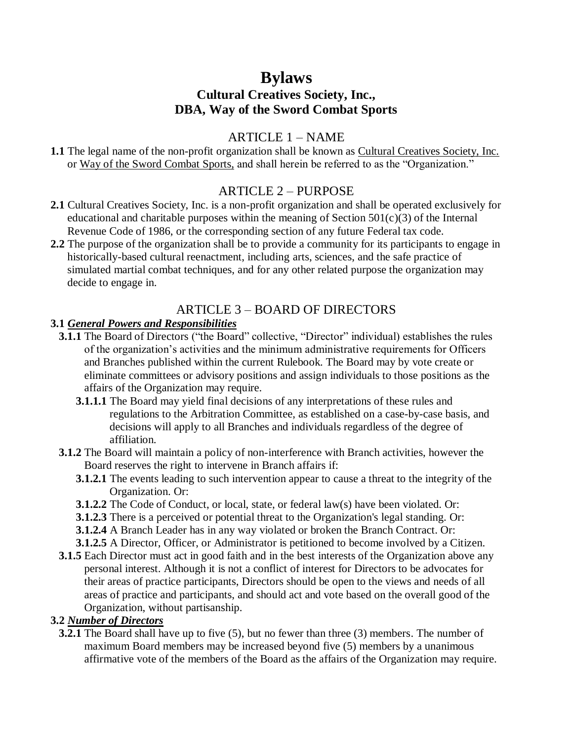# **Bylaws**

# **Cultural Creatives Society, Inc., DBA, Way of the Sword Combat Sports**

# ARTICLE 1 – NAME

**1.1** The legal name of the non-profit organization shall be known as Cultural Creatives Society, Inc. or Way of the Sword Combat Sports, and shall herein be referred to as the "Organization."

# ARTICLE 2 – PURPOSE

- **2.1** Cultural Creatives Society, Inc. is a non-profit organization and shall be operated exclusively for educational and charitable purposes within the meaning of Section  $501(c)(3)$  of the Internal Revenue Code of 1986, or the corresponding section of any future Federal tax code.
- **2.2** The purpose of the organization shall be to provide a community for its participants to engage in historically-based cultural reenactment, including arts, sciences, and the safe practice of simulated martial combat techniques, and for any other related purpose the organization may decide to engage in.

# ARTICLE 3 – BOARD OF DIRECTORS

#### **3.1** *General Powers and Responsibilities*

- **3.1.1** The Board of Directors ("the Board" collective, "Director" individual) establishes the rules of the organization's activities and the minimum administrative requirements for Officers and Branches published within the current Rulebook. The Board may by vote create or eliminate committees or advisory positions and assign individuals to those positions as the affairs of the Organization may require.
	- **3.1.1.1** The Board may yield final decisions of any interpretations of these rules and regulations to the Arbitration Committee, as established on a case-by-case basis, and decisions will apply to all Branches and individuals regardless of the degree of affiliation.
- **3.1.2** The Board will maintain a policy of non-interference with Branch activities, however the Board reserves the right to intervene in Branch affairs if:
	- **3.1.2.1** The events leading to such intervention appear to cause a threat to the integrity of the Organization. Or:
	- **3.1.2.2** The Code of Conduct, or local, state, or federal law(s) have been violated. Or:
	- **3.1.2.3** There is a perceived or potential threat to the Organization's legal standing. Or:
	- **3.1.2.4** A Branch Leader has in any way violated or broken the Branch Contract. Or:
	- **3.1.2.5** A Director, Officer, or Administrator is petitioned to become involved by a Citizen.
- **3.1.5** Each Director must act in good faith and in the best interests of the Organization above any personal interest. Although it is not a conflict of interest for Directors to be advocates for their areas of practice participants, Directors should be open to the views and needs of all areas of practice and participants, and should act and vote based on the overall good of the Organization, without partisanship.

#### **3.2** *Number of Directors*

**3.2.1** The Board shall have up to five (5), but no fewer than three (3) members. The number of maximum Board members may be increased beyond five (5) members by a unanimous affirmative vote of the members of the Board as the affairs of the Organization may require.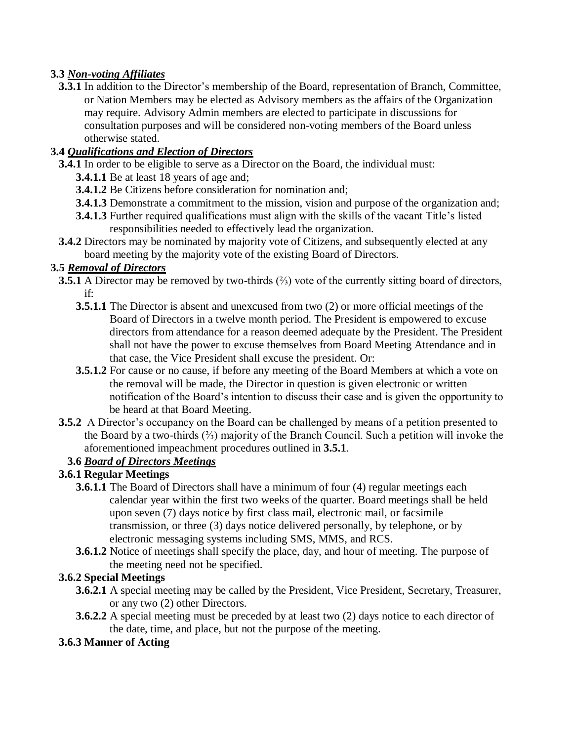# **3.3** *Non-voting Affiliates*

**3.3.1** In addition to the Director's membership of the Board, representation of Branch, Committee, or Nation Members may be elected as Advisory members as the affairs of the Organization may require. Advisory Admin members are elected to participate in discussions for consultation purposes and will be considered non-voting members of the Board unless otherwise stated.

# **3.4** *Qualifications and Election of Directors*

- **3.4.1** In order to be eligible to serve as a Director on the Board, the individual must:
	- **3.4.1.1** Be at least 18 years of age and;
	- **3.4.1.2** Be Citizens before consideration for nomination and;
	- **3.4.1.3** Demonstrate a commitment to the mission, vision and purpose of the organization and;
	- **3.4.1.3** Further required qualifications must align with the skills of the vacant Title's listed responsibilities needed to effectively lead the organization.
- **3.4.2** Directors may be nominated by majority vote of Citizens, and subsequently elected at any board meeting by the majority vote of the existing Board of Directors.

#### **3.5** *Removal of Directors*

- **3.5.1** A Director may be removed by two-thirds (⅔) vote of the currently sitting board of directors, if:
	- **3.5.1.1** The Director is absent and unexcused from two (2) or more official meetings of the Board of Directors in a twelve month period. The President is empowered to excuse directors from attendance for a reason deemed adequate by the President. The President shall not have the power to excuse themselves from Board Meeting Attendance and in that case, the Vice President shall excuse the president. Or:
	- **3.5.1.2** For cause or no cause, if before any meeting of the Board Members at which a vote on the removal will be made, the Director in question is given electronic or written notification of the Board's intention to discuss their case and is given the opportunity to be heard at that Board Meeting.
- **3.5.2** A Director's occupancy on the Board can be challenged by means of a petition presented to the Board by a two-thirds (⅔) majority of the Branch Council. Such a petition will invoke the aforementioned impeachment procedures outlined in **3.5.1**.

# **3.6** *Board of Directors Meetings*

# **3.6.1 Regular Meetings**

- **3.6.1.1** The Board of Directors shall have a minimum of four (4) regular meetings each calendar year within the first two weeks of the quarter. Board meetings shall be held upon seven (7) days notice by first class mail, electronic mail, or facsimile transmission, or three (3) days notice delivered personally, by telephone, or by electronic messaging systems including SMS, MMS, and RCS.
- **3.6.1.2** Notice of meetings shall specify the place, day, and hour of meeting. The purpose of the meeting need not be specified.

# **3.6.2 Special Meetings**

- **3.6.2.1** A special meeting may be called by the President, Vice President, Secretary, Treasurer, or any two (2) other Directors.
- **3.6.2.2** A special meeting must be preceded by at least two (2) days notice to each director of the date, time, and place, but not the purpose of the meeting.

# **3.6.3 Manner of Acting**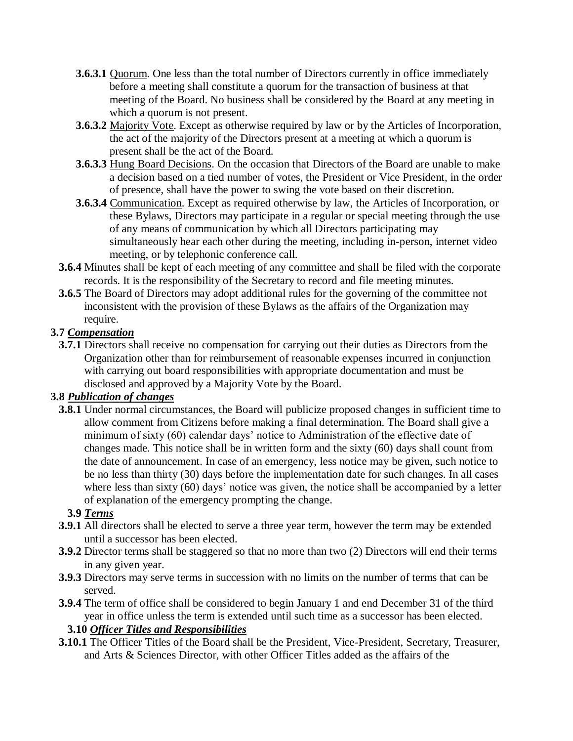- **3.6.3.1** Quorum. One less than the total number of Directors currently in office immediately before a meeting shall constitute a quorum for the transaction of business at that meeting of the Board. No business shall be considered by the Board at any meeting in which a quorum is not present.
- **3.6.3.2** Majority Vote. Except as otherwise required by law or by the Articles of Incorporation, the act of the majority of the Directors present at a meeting at which a quorum is present shall be the act of the Board.
- **3.6.3.3** Hung Board Decisions. On the occasion that Directors of the Board are unable to make a decision based on a tied number of votes, the President or Vice President, in the order of presence, shall have the power to swing the vote based on their discretion.
- **3.6.3.4** Communication. Except as required otherwise by law, the Articles of Incorporation, or these Bylaws, Directors may participate in a regular or special meeting through the use of any means of communication by which all Directors participating may simultaneously hear each other during the meeting, including in-person, internet video meeting, or by telephonic conference call.
- **3.6.4** Minutes shall be kept of each meeting of any committee and shall be filed with the corporate records. It is the responsibility of the Secretary to record and file meeting minutes.
- **3.6.5** The Board of Directors may adopt additional rules for the governing of the committee not inconsistent with the provision of these Bylaws as the affairs of the Organization may require.

# **3.7** *Compensation*

**3.7.1** Directors shall receive no compensation for carrying out their duties as Directors from the Organization other than for reimbursement of reasonable expenses incurred in conjunction with carrying out board responsibilities with appropriate documentation and must be disclosed and approved by a Majority Vote by the Board.

# **3.8** *Publication of changes*

**3.8.1** Under normal circumstances, the Board will publicize proposed changes in sufficient time to allow comment from Citizens before making a final determination. The Board shall give a minimum of sixty (60) calendar days' notice to Administration of the effective date of changes made. This notice shall be in written form and the sixty (60) days shall count from the date of announcement. In case of an emergency, less notice may be given, such notice to be no less than thirty (30) days before the implementation date for such changes. In all cases where less than sixty (60) days' notice was given, the notice shall be accompanied by a letter of explanation of the emergency prompting the change.

# **3.9** *Terms*

- **3.9.1** All directors shall be elected to serve a three year term, however the term may be extended until a successor has been elected.
- **3.9.2** Director terms shall be staggered so that no more than two (2) Directors will end their terms in any given year.
- **3.9.3** Directors may serve terms in succession with no limits on the number of terms that can be served.
- **3.9.4** The term of office shall be considered to begin January 1 and end December 31 of the third year in office unless the term is extended until such time as a successor has been elected.

# **3.10** *Officer Titles and Responsibilities*

**3.10.1** The Officer Titles of the Board shall be the President, Vice-President, Secretary, Treasurer, and Arts & Sciences Director, with other Officer Titles added as the affairs of the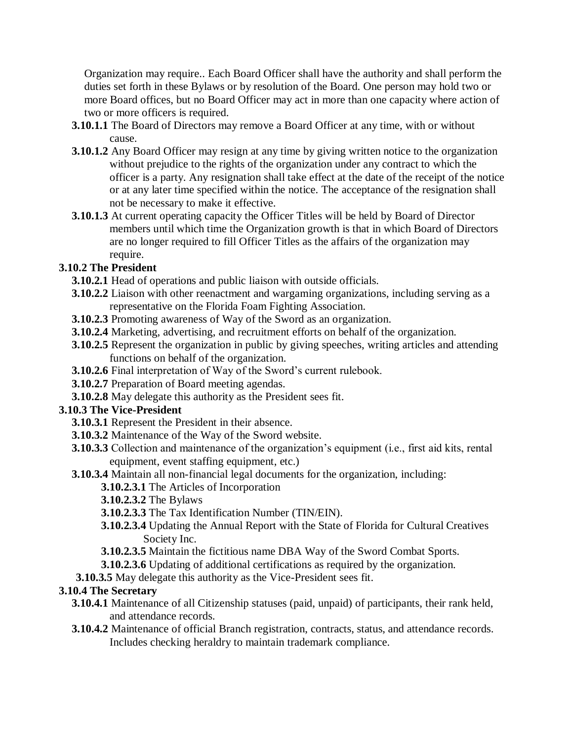Organization may require.. Each Board Officer shall have the authority and shall perform the duties set forth in these Bylaws or by resolution of the Board. One person may hold two or more Board offices, but no Board Officer may act in more than one capacity where action of two or more officers is required.

- **3.10.1.1** The Board of Directors may remove a Board Officer at any time, with or without cause.
- **3.10.1.2** Any Board Officer may resign at any time by giving written notice to the organization without prejudice to the rights of the organization under any contract to which the officer is a party. Any resignation shall take effect at the date of the receipt of the notice or at any later time specified within the notice. The acceptance of the resignation shall not be necessary to make it effective.
- **3.10.1.3** At current operating capacity the Officer Titles will be held by Board of Director members until which time the Organization growth is that in which Board of Directors are no longer required to fill Officer Titles as the affairs of the organization may require.

# **3.10.2 The President**

- **3.10.2.1** Head of operations and public liaison with outside officials.
- **3.10.2.2** Liaison with other reenactment and wargaming organizations, including serving as a representative on the Florida Foam Fighting Association.
- **3.10.2.3** Promoting awareness of Way of the Sword as an organization.
- **3.10.2.4** Marketing, advertising, and recruitment efforts on behalf of the organization.
- **3.10.2.5** Represent the organization in public by giving speeches, writing articles and attending functions on behalf of the organization.
- **3.10.2.6** Final interpretation of Way of the Sword's current rulebook.
- **3.10.2.7** Preparation of Board meeting agendas.
- **3.10.2.8** May delegate this authority as the President sees fit.

# **3.10.3 The Vice-President**

- **3.10.3.1** Represent the President in their absence.
- **3.10.3.2** Maintenance of the Way of the Sword website.
- **3.10.3.3** Collection and maintenance of the organization's equipment (i.e., first aid kits, rental equipment, event staffing equipment, etc.)
- **3.10.3.4** Maintain all non-financial legal documents for the organization, including:

# **3.10.2.3.1** The Articles of Incorporation

- **3.10.2.3.2** The Bylaws
- **3.10.2.3.3** The Tax Identification Number (TIN/EIN).
- **3.10.2.3.4** Updating the Annual Report with the State of Florida for Cultural Creatives Society Inc.
- **3.10.2.3.5** Maintain the fictitious name DBA Way of the Sword Combat Sports.
- **3.10.2.3.6** Updating of additional certifications as required by the organization.
- **3.10.3.5** May delegate this authority as the Vice-President sees fit.

# **3.10.4 The Secretary**

- **3.10.4.1** Maintenance of all Citizenship statuses (paid, unpaid) of participants, their rank held, and attendance records.
- **3.10.4.2** Maintenance of official Branch registration, contracts, status, and attendance records. Includes checking heraldry to maintain trademark compliance.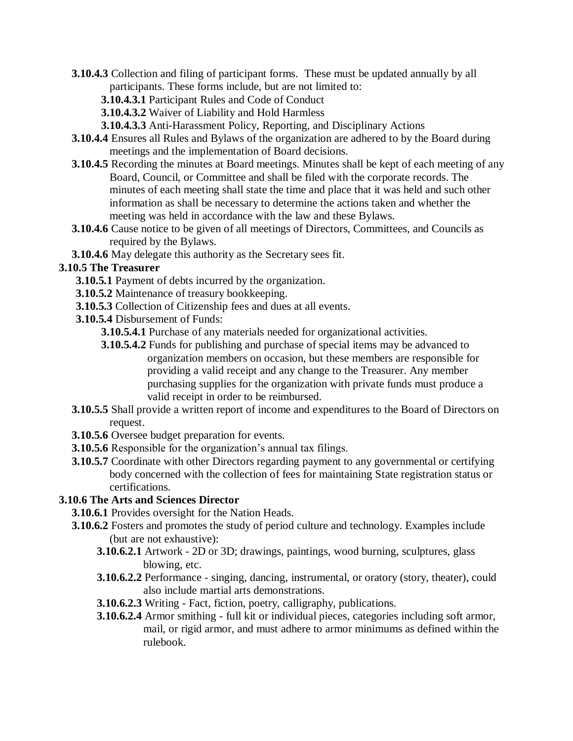- **3.10.4.3** Collection and filing of participant forms. These must be updated annually by all participants. These forms include, but are not limited to:
	- **3.10.4.3.1** Participant Rules and Code of Conduct
	- **3.10.4.3.2** Waiver of Liability and Hold Harmless
	- **3.10.4.3.3** Anti-Harassment Policy, Reporting, and Disciplinary Actions
- **3.10.4.4** Ensures all Rules and Bylaws of the organization are adhered to by the Board during meetings and the implementation of Board decisions.
- **3.10.4.5** Recording the minutes at Board meetings. Minutes shall be kept of each meeting of any Board, Council, or Committee and shall be filed with the corporate records. The minutes of each meeting shall state the time and place that it was held and such other information as shall be necessary to determine the actions taken and whether the meeting was held in accordance with the law and these Bylaws.
- **3.10.4.6** Cause notice to be given of all meetings of Directors, Committees, and Councils as required by the Bylaws.
- **3.10.4.6** May delegate this authority as the Secretary sees fit.

# **3.10.5 The Treasurer**

- **3.10.5.1** Payment of debts incurred by the organization.
- **3.10.5.2** Maintenance of treasury bookkeeping.
- **3.10.5.3** Collection of Citizenship fees and dues at all events.
- **3.10.5.4** Disbursement of Funds:
	- **3.10.5.4.1** Purchase of any materials needed for organizational activities.
	- **3.10.5.4.2** Funds for publishing and purchase of special items may be advanced to organization members on occasion, but these members are responsible for providing a valid receipt and any change to the Treasurer. Any member purchasing supplies for the organization with private funds must produce a valid receipt in order to be reimbursed.
- **3.10.5.5** Shall provide a written report of income and expenditures to the Board of Directors on request.
- **3.10.5.6** Oversee budget preparation for events.
- **3.10.5.6** Responsible for the organization's annual tax filings.
- **3.10.5.7** Coordinate with other Directors regarding payment to any governmental or certifying body concerned with the collection of fees for maintaining State registration status or certifications.

# **3.10.6 The Arts and Sciences Director**

- **3.10.6.1** Provides oversight for the Nation Heads.
- **3.10.6.2** Fosters and promotes the study of period culture and technology. Examples include (but are not exhaustive):
	- **3.10.6.2.1** Artwork 2D or 3D; drawings, paintings, wood burning, sculptures, glass blowing, etc.
	- **3.10.6.2.2** Performance singing, dancing, instrumental, or oratory (story, theater), could also include martial arts demonstrations.
	- **3.10.6.2.3** Writing Fact, fiction, poetry, calligraphy, publications.
	- **3.10.6.2.4** Armor smithing full kit or individual pieces, categories including soft armor, mail, or rigid armor, and must adhere to armor minimums as defined within the rulebook.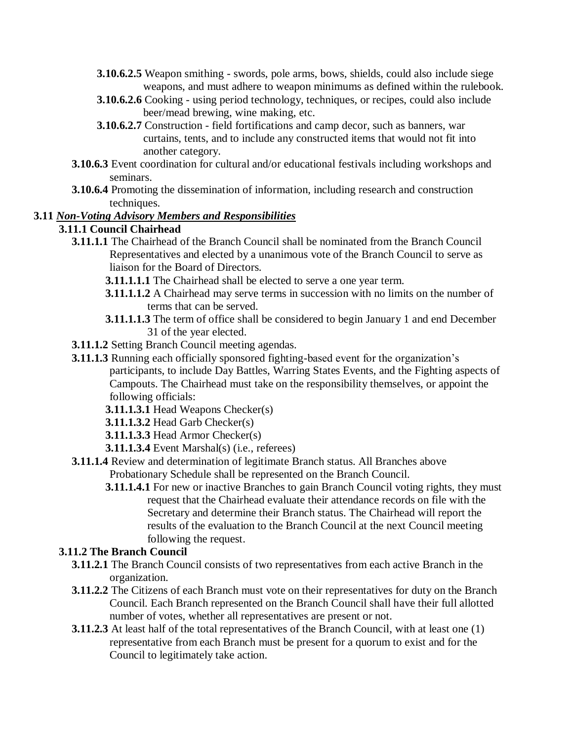- **3.10.6.2.5** Weapon smithing swords, pole arms, bows, shields, could also include siege weapons, and must adhere to weapon minimums as defined within the rulebook.
- **3.10.6.2.6** Cooking using period technology, techniques, or recipes, could also include beer/mead brewing, wine making, etc.
- **3.10.6.2.7** Construction field fortifications and camp decor, such as banners, war curtains, tents, and to include any constructed items that would not fit into another category.
- **3.10.6.3** Event coordination for cultural and/or educational festivals including workshops and seminars.
- **3.10.6.4** Promoting the dissemination of information, including research and construction techniques.

#### **3.11** *Non-Voting Advisory Members and Responsibilities*

# **3.11.1 Council Chairhead**

- **3.11.1.1** The Chairhead of the Branch Council shall be nominated from the Branch Council Representatives and elected by a unanimous vote of the Branch Council to serve as liaison for the Board of Directors.
	- **3.11.1.1.1** The Chairhead shall be elected to serve a one year term.
	- **3.11.1.1.2** A Chairhead may serve terms in succession with no limits on the number of terms that can be served.
	- **3.11.1.1.3** The term of office shall be considered to begin January 1 and end December 31 of the year elected.
- **3.11.1.2** Setting Branch Council meeting agendas.
- **3.11.1.3** Running each officially sponsored fighting-based event for the organization's participants, to include Day Battles, Warring States Events, and the Fighting aspects of Campouts. The Chairhead must take on the responsibility themselves, or appoint the following officials:
	- **3.11.1.3.1** Head Weapons Checker(s)
	- **3.11.1.3.2** Head Garb Checker(s)
	- **3.11.1.3.3** Head Armor Checker(s)
	- **3.11.1.3.4** Event Marshal(s) (i.e., referees)
- **3.11.1.4** Review and determination of legitimate Branch status. All Branches above Probationary Schedule shall be represented on the Branch Council.
	- **3.11.1.4.1** For new or inactive Branches to gain Branch Council voting rights, they must request that the Chairhead evaluate their attendance records on file with the Secretary and determine their Branch status. The Chairhead will report the results of the evaluation to the Branch Council at the next Council meeting following the request.

#### **3.11.2 The Branch Council**

- **3.11.2.1** The Branch Council consists of two representatives from each active Branch in the organization.
- **3.11.2.2** The Citizens of each Branch must vote on their representatives for duty on the Branch Council. Each Branch represented on the Branch Council shall have their full allotted number of votes, whether all representatives are present or not.
- **3.11.2.3** At least half of the total representatives of the Branch Council, with at least one (1) representative from each Branch must be present for a quorum to exist and for the Council to legitimately take action.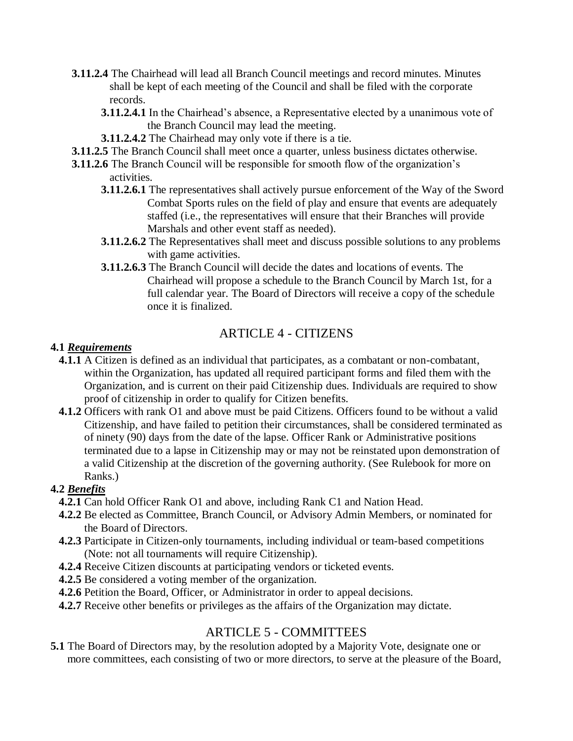- **3.11.2.4** The Chairhead will lead all Branch Council meetings and record minutes. Minutes shall be kept of each meeting of the Council and shall be filed with the corporate records.
	- **3.11.2.4.1** In the Chairhead's absence, a Representative elected by a unanimous vote of the Branch Council may lead the meeting.
	- **3.11.2.4.2** The Chairhead may only vote if there is a tie.
- **3.11.2.5** The Branch Council shall meet once a quarter, unless business dictates otherwise.
- **3.11.2.6** The Branch Council will be responsible for smooth flow of the organization's activities.
	- **3.11.2.6.1** The representatives shall actively pursue enforcement of the Way of the Sword Combat Sports rules on the field of play and ensure that events are adequately staffed (i.e., the representatives will ensure that their Branches will provide Marshals and other event staff as needed).
	- **3.11.2.6.2** The Representatives shall meet and discuss possible solutions to any problems with game activities.
	- **3.11.2.6.3** The Branch Council will decide the dates and locations of events. The Chairhead will propose a schedule to the Branch Council by March 1st, for a full calendar year. The Board of Directors will receive a copy of the schedule once it is finalized.

# ARTICLE 4 - CITIZENS

#### **4.1** *Requirements*

- **4.1.1** A Citizen is defined as an individual that participates, as a combatant or non-combatant, within the Organization, has updated all required participant forms and filed them with the Organization, and is current on their paid Citizenship dues. Individuals are required to show proof of citizenship in order to qualify for Citizen benefits.
- **4.1.2** Officers with rank O1 and above must be paid Citizens. Officers found to be without a valid Citizenship, and have failed to petition their circumstances, shall be considered terminated as of ninety (90) days from the date of the lapse. Officer Rank or Administrative positions terminated due to a lapse in Citizenship may or may not be reinstated upon demonstration of a valid Citizenship at the discretion of the governing authority. (See Rulebook for more on Ranks.)

#### **4.2** *Benefits*

- **4.2.1** Can hold Officer Rank O1 and above, including Rank C1 and Nation Head.
- **4.2.2** Be elected as Committee, Branch Council, or Advisory Admin Members, or nominated for the Board of Directors.
- **4.2.3** Participate in Citizen-only tournaments, including individual or team-based competitions (Note: not all tournaments will require Citizenship).
- **4.2.4** Receive Citizen discounts at participating vendors or ticketed events.
- **4.2.5** Be considered a voting member of the organization.
- **4.2.6** Petition the Board, Officer, or Administrator in order to appeal decisions.
- **4.2.7** Receive other benefits or privileges as the affairs of the Organization may dictate.

# ARTICLE 5 - COMMITTEES

**5.1** The Board of Directors may, by the resolution adopted by a Majority Vote, designate one or more committees, each consisting of two or more directors, to serve at the pleasure of the Board,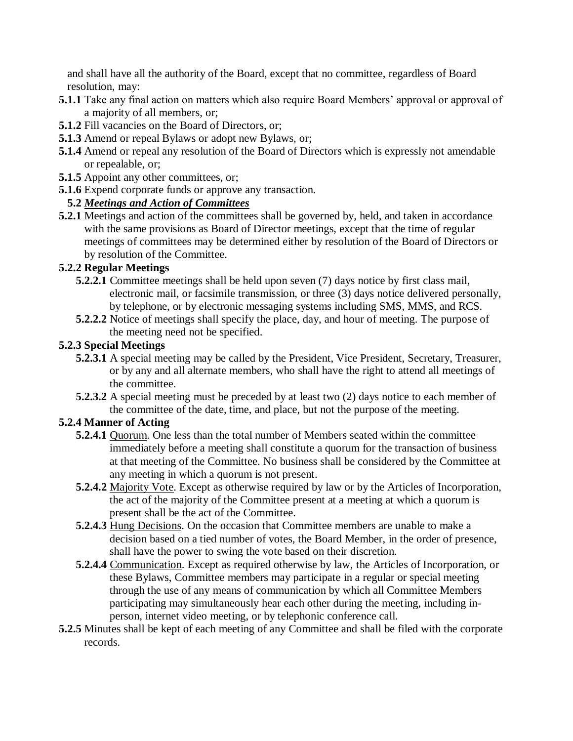and shall have all the authority of the Board, except that no committee, regardless of Board resolution, may:

- **5.1.1** Take any final action on matters which also require Board Members' approval or approval of a majority of all members, or;
- **5.1.2** Fill vacancies on the Board of Directors, or;
- **5.1.3** Amend or repeal Bylaws or adopt new Bylaws, or;
- **5.1.4** Amend or repeal any resolution of the Board of Directors which is expressly not amendable or repealable, or;
- **5.1.5** Appoint any other committees, or;
- **5.1.6** Expend corporate funds or approve any transaction.

# **5.2** *Meetings and Action of Committees*

**5.2.1** Meetings and action of the committees shall be governed by, held, and taken in accordance with the same provisions as Board of Director meetings, except that the time of regular meetings of committees may be determined either by resolution of the Board of Directors or by resolution of the Committee.

#### **5.2.2 Regular Meetings**

- **5.2.2.1** Committee meetings shall be held upon seven (7) days notice by first class mail, electronic mail, or facsimile transmission, or three (3) days notice delivered personally, by telephone, or by electronic messaging systems including SMS, MMS, and RCS.
- **5.2.2.2** Notice of meetings shall specify the place, day, and hour of meeting. The purpose of the meeting need not be specified.

#### **5.2.3 Special Meetings**

- **5.2.3.1** A special meeting may be called by the President, Vice President, Secretary, Treasurer, or by any and all alternate members, who shall have the right to attend all meetings of the committee.
- **5.2.3.2** A special meeting must be preceded by at least two (2) days notice to each member of the committee of the date, time, and place, but not the purpose of the meeting.

# **5.2.4 Manner of Acting**

- **5.2.4.1** Quorum. One less than the total number of Members seated within the committee immediately before a meeting shall constitute a quorum for the transaction of business at that meeting of the Committee. No business shall be considered by the Committee at any meeting in which a quorum is not present.
- **5.2.4.2** Majority Vote. Except as otherwise required by law or by the Articles of Incorporation, the act of the majority of the Committee present at a meeting at which a quorum is present shall be the act of the Committee.
- **5.2.4.3** Hung Decisions. On the occasion that Committee members are unable to make a decision based on a tied number of votes, the Board Member, in the order of presence, shall have the power to swing the vote based on their discretion.
- **5.2.4.4** Communication. Except as required otherwise by law, the Articles of Incorporation, or these Bylaws, Committee members may participate in a regular or special meeting through the use of any means of communication by which all Committee Members participating may simultaneously hear each other during the meeting, including inperson, internet video meeting, or by telephonic conference call.
- **5.2.5** Minutes shall be kept of each meeting of any Committee and shall be filed with the corporate records.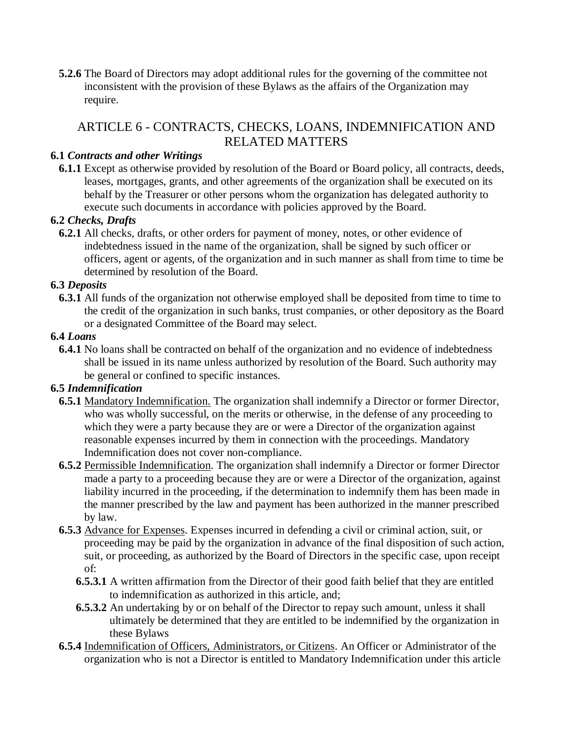**5.2.6** The Board of Directors may adopt additional rules for the governing of the committee not inconsistent with the provision of these Bylaws as the affairs of the Organization may require.

# ARTICLE 6 - CONTRACTS, CHECKS, LOANS, INDEMNIFICATION AND RELATED MATTERS

#### **6.1** *Contracts and other Writings*

**6.1.1** Except as otherwise provided by resolution of the Board or Board policy, all contracts, deeds, leases, mortgages, grants, and other agreements of the organization shall be executed on its behalf by the Treasurer or other persons whom the organization has delegated authority to execute such documents in accordance with policies approved by the Board.

#### **6.2** *Checks, Drafts*

**6.2.1** All checks, drafts, or other orders for payment of money, notes, or other evidence of indebtedness issued in the name of the organization, shall be signed by such officer or officers, agent or agents, of the organization and in such manner as shall from time to time be determined by resolution of the Board.

#### **6.3** *Deposits*

**6.3.1** All funds of the organization not otherwise employed shall be deposited from time to time to the credit of the organization in such banks, trust companies, or other depository as the Board or a designated Committee of the Board may select.

#### **6.4** *Loans*

**6.4.1** No loans shall be contracted on behalf of the organization and no evidence of indebtedness shall be issued in its name unless authorized by resolution of the Board. Such authority may be general or confined to specific instances.

#### **6.5** *Indemnification*

- **6.5.1** Mandatory Indemnification. The organization shall indemnify a Director or former Director, who was wholly successful, on the merits or otherwise, in the defense of any proceeding to which they were a party because they are or were a Director of the organization against reasonable expenses incurred by them in connection with the proceedings. Mandatory Indemnification does not cover non-compliance.
- **6.5.2** Permissible Indemnification. The organization shall indemnify a Director or former Director made a party to a proceeding because they are or were a Director of the organization, against liability incurred in the proceeding, if the determination to indemnify them has been made in the manner prescribed by the law and payment has been authorized in the manner prescribed by law.
- **6.5.3** Advance for Expenses. Expenses incurred in defending a civil or criminal action, suit, or proceeding may be paid by the organization in advance of the final disposition of such action, suit, or proceeding, as authorized by the Board of Directors in the specific case, upon receipt of:
	- **6.5.3.1** A written affirmation from the Director of their good faith belief that they are entitled to indemnification as authorized in this article, and;
	- **6.5.3.2** An undertaking by or on behalf of the Director to repay such amount, unless it shall ultimately be determined that they are entitled to be indemnified by the organization in these Bylaws
- **6.5.4** Indemnification of Officers, Administrators, or Citizens. An Officer or Administrator of the organization who is not a Director is entitled to Mandatory Indemnification under this article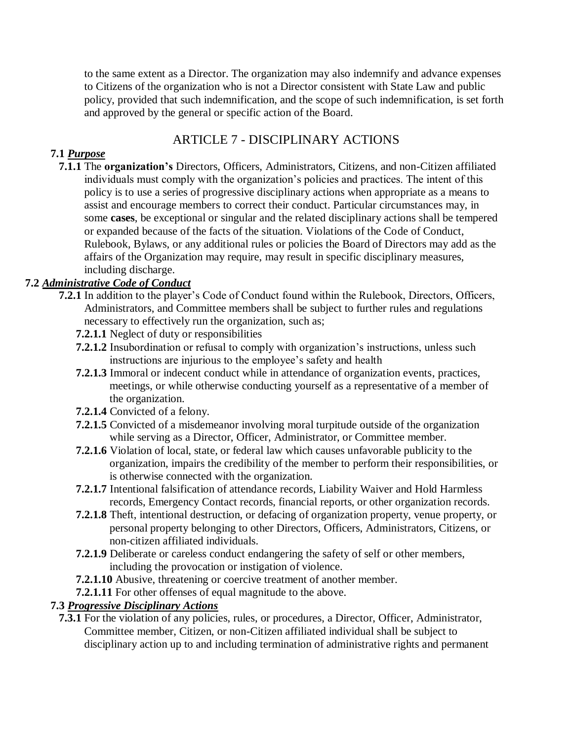to the same extent as a Director. The organization may also indemnify and advance expenses to Citizens of the organization who is not a Director consistent with State Law and public policy, provided that such indemnification, and the scope of such indemnification, is set forth and approved by the general or specific action of the Board.

# ARTICLE 7 - DISCIPLINARY ACTIONS

### **7.1** *Purpose*

**7.1.1** The **organization's** Directors, Officers, Administrators, Citizens, and non-Citizen affiliated individuals must comply with the organization's policies and practices. The intent of this policy is to use a series of progressive disciplinary actions when appropriate as a means to assist and encourage members to correct their conduct. Particular circumstances may, in some **cases**, be exceptional or singular and the related disciplinary actions shall be tempered or expanded because of the facts of the situation. Violations of the Code of Conduct, Rulebook, Bylaws, or any additional rules or policies the Board of Directors may add as the affairs of the Organization may require, may result in specific disciplinary measures, including discharge.

# **7.2** *Administrative Code of Conduct*

- **7.2.1** In addition to the player's Code of Conduct found within the Rulebook, Directors, Officers, Administrators, and Committee members shall be subject to further rules and regulations necessary to effectively run the organization, such as;
	- **7.2.1.1** Neglect of duty or responsibilities
	- **7.2.1.2** Insubordination or refusal to comply with organization's instructions, unless such instructions are injurious to the employee's safety and health
	- **7.2.1.3** Immoral or indecent conduct while in attendance of organization events, practices, meetings, or while otherwise conducting yourself as a representative of a member of the organization.
	- **7.2.1.4** Convicted of a felony.
	- **7.2.1.5** Convicted of a misdemeanor involving moral turpitude outside of the organization while serving as a Director, Officer, Administrator, or Committee member.
	- **7.2.1.6** Violation of local, state, or federal law which causes unfavorable publicity to the organization, impairs the credibility of the member to perform their responsibilities, or is otherwise connected with the organization.
	- **7.2.1.7** Intentional falsification of attendance records, Liability Waiver and Hold Harmless records, Emergency Contact records, financial reports, or other organization records.
	- **7.2.1.8** Theft, intentional destruction, or defacing of organization property, venue property, or personal property belonging to other Directors, Officers, Administrators, Citizens, or non-citizen affiliated individuals.
	- **7.2.1.9** Deliberate or careless conduct endangering the safety of self or other members, including the provocation or instigation of violence.
	- **7.2.1.10** Abusive, threatening or coercive treatment of another member.
	- **7.2.1.11** For other offenses of equal magnitude to the above.

# **7.3** *Progressive Disciplinary Actions*

**7.3.1** For the violation of any policies, rules, or procedures, a Director, Officer, Administrator, Committee member, Citizen, or non-Citizen affiliated individual shall be subject to disciplinary action up to and including termination of administrative rights and permanent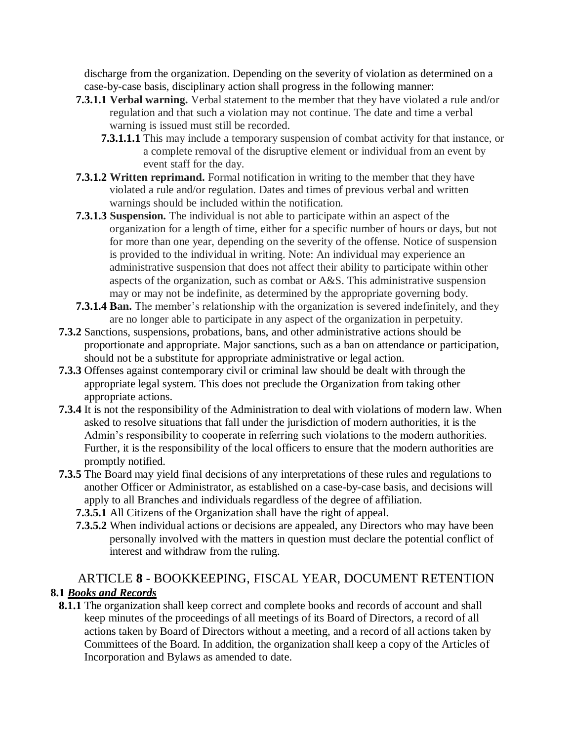discharge from the organization. Depending on the severity of violation as determined on a case-by-case basis, disciplinary action shall progress in the following manner:

- **7.3.1.1 Verbal warning.** Verbal statement to the member that they have violated a rule and/or regulation and that such a violation may not continue. The date and time a verbal warning is issued must still be recorded.
	- **7.3.1.1.1** This may include a temporary suspension of combat activity for that instance, or a complete removal of the disruptive element or individual from an event by event staff for the day.
- **7.3.1.2 Written reprimand.** Formal notification in writing to the member that they have violated a rule and/or regulation. Dates and times of previous verbal and written warnings should be included within the notification.
- **7.3.1.3 Suspension.** The individual is not able to participate within an aspect of the organization for a length of time, either for a specific number of hours or days, but not for more than one year, depending on the severity of the offense. Notice of suspension is provided to the individual in writing. Note: An individual may experience an administrative suspension that does not affect their ability to participate within other aspects of the organization, such as combat or A&S. This administrative suspension may or may not be indefinite, as determined by the appropriate governing body.
- **7.3.1.4 Ban.** The member's relationship with the organization is severed indefinitely, and they are no longer able to participate in any aspect of the organization in perpetuity.
- **7.3.2** Sanctions, suspensions, probations, bans, and other administrative actions should be proportionate and appropriate. Major sanctions, such as a ban on attendance or participation, should not be a substitute for appropriate administrative or legal action.
- **7.3.3** Offenses against contemporary civil or criminal law should be dealt with through the appropriate legal system. This does not preclude the Organization from taking other appropriate actions.
- **7.3.4** It is not the responsibility of the Administration to deal with violations of modern law. When asked to resolve situations that fall under the jurisdiction of modern authorities, it is the Admin's responsibility to cooperate in referring such violations to the modern authorities. Further, it is the responsibility of the local officers to ensure that the modern authorities are promptly notified.
- **7.3.5** The Board may yield final decisions of any interpretations of these rules and regulations to another Officer or Administrator, as established on a case-by-case basis, and decisions will apply to all Branches and individuals regardless of the degree of affiliation.
	- **7.3.5.1** All Citizens of the Organization shall have the right of appeal.
	- **7.3.5.2** When individual actions or decisions are appealed, any Directors who may have been personally involved with the matters in question must declare the potential conflict of interest and withdraw from the ruling.

# ARTICLE **8** - BOOKKEEPING, FISCAL YEAR, DOCUMENT RETENTION **8.1** *Books and Records*

**8.1.1** The organization shall keep correct and complete books and records of account and shall keep minutes of the proceedings of all meetings of its Board of Directors, a record of all actions taken by Board of Directors without a meeting, and a record of all actions taken by Committees of the Board. In addition, the organization shall keep a copy of the Articles of Incorporation and Bylaws as amended to date.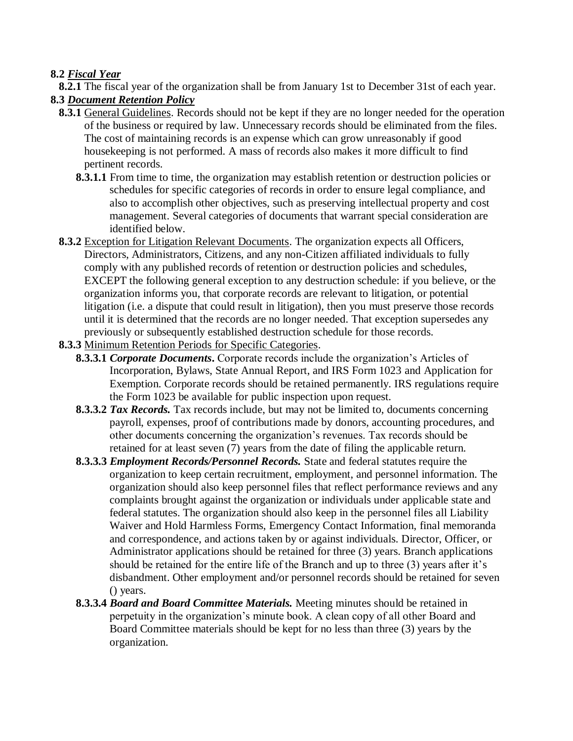#### **8.2** *Fiscal Year*

**8.2.1** The fiscal year of the organization shall be from January 1st to December 31st of each year.

#### **8.3** *Document Retention Policy*

- **8.3.1** General Guidelines. Records should not be kept if they are no longer needed for the operation of the business or required by law. Unnecessary records should be eliminated from the files. The cost of maintaining records is an expense which can grow unreasonably if good housekeeping is not performed. A mass of records also makes it more difficult to find pertinent records.
	- **8.3.1.1** From time to time, the organization may establish retention or destruction policies or schedules for specific categories of records in order to ensure legal compliance, and also to accomplish other objectives, such as preserving intellectual property and cost management. Several categories of documents that warrant special consideration are identified below.
- **8.3.2** Exception for Litigation Relevant Documents. The organization expects all Officers, Directors, Administrators, Citizens, and any non-Citizen affiliated individuals to fully comply with any published records of retention or destruction policies and schedules, EXCEPT the following general exception to any destruction schedule: if you believe, or the organization informs you, that corporate records are relevant to litigation, or potential litigation (i.e. a dispute that could result in litigation), then you must preserve those records until it is determined that the records are no longer needed. That exception supersedes any previously or subsequently established destruction schedule for those records.
- **8.3.3** Minimum Retention Periods for Specific Categories.
	- **8.3.3.1** *Corporate Documents***.** Corporate records include the organization's Articles of Incorporation, Bylaws, State Annual Report, and IRS Form 1023 and Application for Exemption. Corporate records should be retained permanently. IRS regulations require the Form 1023 be available for public inspection upon request.
	- **8.3.3.2** *Tax Records.* Tax records include, but may not be limited to, documents concerning payroll, expenses, proof of contributions made by donors, accounting procedures, and other documents concerning the organization's revenues. Tax records should be retained for at least seven (7) years from the date of filing the applicable return.
	- **8.3.3.3** *Employment Records/Personnel Records.* State and federal statutes require the organization to keep certain recruitment, employment, and personnel information. The organization should also keep personnel files that reflect performance reviews and any complaints brought against the organization or individuals under applicable state and federal statutes. The organization should also keep in the personnel files all Liability Waiver and Hold Harmless Forms, Emergency Contact Information, final memoranda and correspondence, and actions taken by or against individuals. Director, Officer, or Administrator applications should be retained for three (3) years. Branch applications should be retained for the entire life of the Branch and up to three (3) years after it's disbandment. Other employment and/or personnel records should be retained for seven () years.
	- **8.3.3.4** *Board and Board Committee Materials.* Meeting minutes should be retained in perpetuity in the organization's minute book. A clean copy of all other Board and Board Committee materials should be kept for no less than three (3) years by the organization.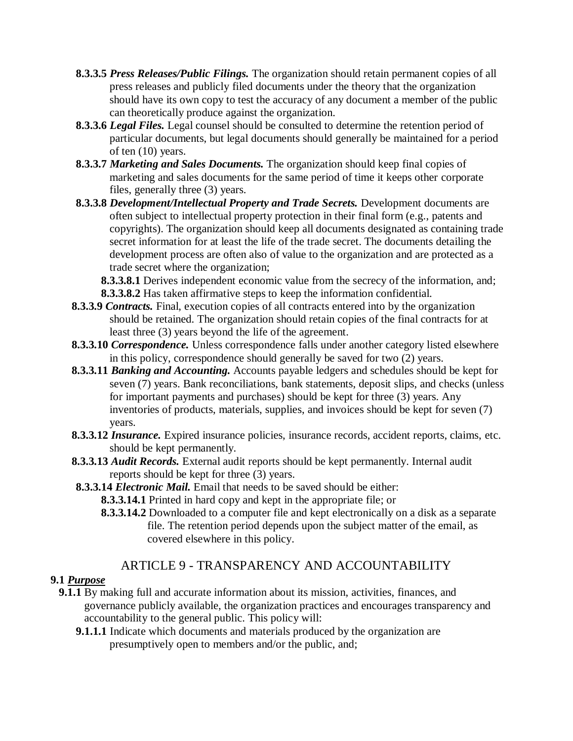- **8.3.3.5** *Press Releases/Public Filings.* The organization should retain permanent copies of all press releases and publicly filed documents under the theory that the organization should have its own copy to test the accuracy of any document a member of the public can theoretically produce against the organization.
- **8.3.3.6** *Legal Files.* Legal counsel should be consulted to determine the retention period of particular documents, but legal documents should generally be maintained for a period of ten (10) years.
- **8.3.3.7** *Marketing and Sales Documents.* The organization should keep final copies of marketing and sales documents for the same period of time it keeps other corporate files, generally three (3) years.
- **8.3.3.8** *Development/Intellectual Property and Trade Secrets.* Development documents are often subject to intellectual property protection in their final form (e.g., patents and copyrights). The organization should keep all documents designated as containing trade secret information for at least the life of the trade secret. The documents detailing the development process are often also of value to the organization and are protected as a trade secret where the organization;

**8.3.3.8.1** Derives independent economic value from the secrecy of the information, and; **8.3.3.8.2** Has taken affirmative steps to keep the information confidential.

- **8.3.3.9** *Contracts.* Final, execution copies of all contracts entered into by the organization should be retained. The organization should retain copies of the final contracts for at least three (3) years beyond the life of the agreement.
- **8.3.3.10** *Correspondence.* Unless correspondence falls under another category listed elsewhere in this policy, correspondence should generally be saved for two (2) years.
- **8.3.3.11** *Banking and Accounting.* Accounts payable ledgers and schedules should be kept for seven (7) years. Bank reconciliations, bank statements, deposit slips, and checks (unless for important payments and purchases) should be kept for three (3) years. Any inventories of products, materials, supplies, and invoices should be kept for seven (7) years.
- **8.3.3.12** *Insurance.* Expired insurance policies, insurance records, accident reports, claims, etc. should be kept permanently.
- **8.3.3.13** *Audit Records.* External audit reports should be kept permanently. Internal audit reports should be kept for three (3) years.
- **8.3.3.14** *Electronic Mail.* Email that needs to be saved should be either:
	- **8.3.3.14.1** Printed in hard copy and kept in the appropriate file; or
	- **8.3.3.14.2** Downloaded to a computer file and kept electronically on a disk as a separate file. The retention period depends upon the subject matter of the email, as covered elsewhere in this policy.

# ARTICLE 9 - TRANSPARENCY AND ACCOUNTABILITY

#### **9.1** *Purpose*

- **9.1.1** By making full and accurate information about its mission, activities, finances, and governance publicly available, the organization practices and encourages transparency and accountability to the general public. This policy will:
	- **9.1.1.1** Indicate which documents and materials produced by the organization are presumptively open to members and/or the public, and;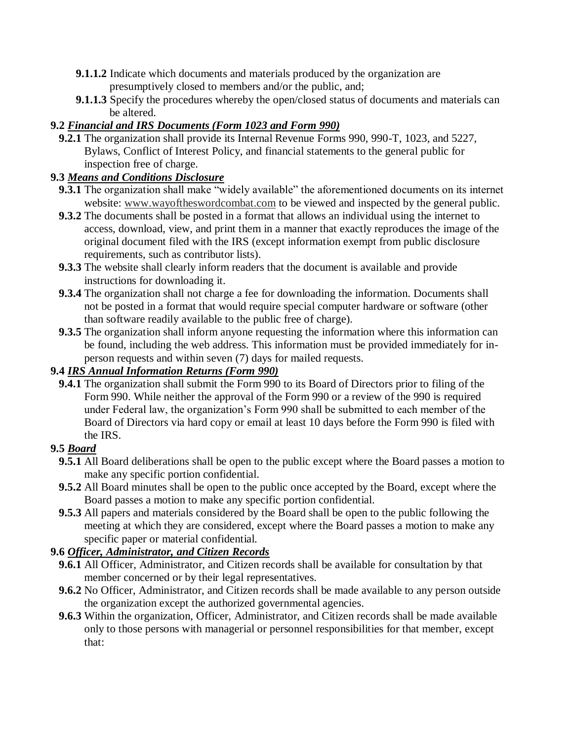- **9.1.1.2** Indicate which documents and materials produced by the organization are presumptively closed to members and/or the public, and;
- **9.1.1.3** Specify the procedures whereby the open/closed status of documents and materials can be altered.

# **9.2** *Financial and IRS Documents (Form 1023 and Form 990)*

**9.2.1** The organization shall provide its Internal Revenue Forms 990, 990-T, 1023, and 5227, Bylaws, Conflict of Interest Policy, and financial statements to the general public for inspection free of charge.

# **9.3** *Means and Conditions Disclosure*

- **9.3.1** The organization shall make "widely available" the aforementioned documents on its internet website: [www.wayoftheswordcombat.com](http://www.wayoftheswordcombat.com/) to be viewed and inspected by the general public.
- **9.3.2** The documents shall be posted in a format that allows an individual using the internet to access, download, view, and print them in a manner that exactly reproduces the image of the original document filed with the IRS (except information exempt from public disclosure requirements, such as contributor lists).
- **9.3.3** The website shall clearly inform readers that the document is available and provide instructions for downloading it.
- **9.3.4** The organization shall not charge a fee for downloading the information. Documents shall not be posted in a format that would require special computer hardware or software (other than software readily available to the public free of charge).
- **9.3.5** The organization shall inform anyone requesting the information where this information can be found, including the web address. This information must be provided immediately for inperson requests and within seven (7) days for mailed requests.

# **9.4** *IRS Annual Information Returns (Form 990)*

**9.4.1** The organization shall submit the Form 990 to its Board of Directors prior to filing of the Form 990. While neither the approval of the Form 990 or a review of the 990 is required under Federal law, the organization's Form 990 shall be submitted to each member of the Board of Directors via hard copy or email at least 10 days before the Form 990 is filed with the IRS.

# **9.5** *Board*

- **9.5.1** All Board deliberations shall be open to the public except where the Board passes a motion to make any specific portion confidential.
- **9.5.2** All Board minutes shall be open to the public once accepted by the Board, except where the Board passes a motion to make any specific portion confidential.
- **9.5.3** All papers and materials considered by the Board shall be open to the public following the meeting at which they are considered, except where the Board passes a motion to make any specific paper or material confidential.

# **9.6** *Officer, Administrator, and Citizen Records*

- **9.6.1** All Officer, Administrator, and Citizen records shall be available for consultation by that member concerned or by their legal representatives.
- **9.6.2** No Officer, Administrator, and Citizen records shall be made available to any person outside the organization except the authorized governmental agencies.
- **9.6.3** Within the organization, Officer, Administrator, and Citizen records shall be made available only to those persons with managerial or personnel responsibilities for that member, except that: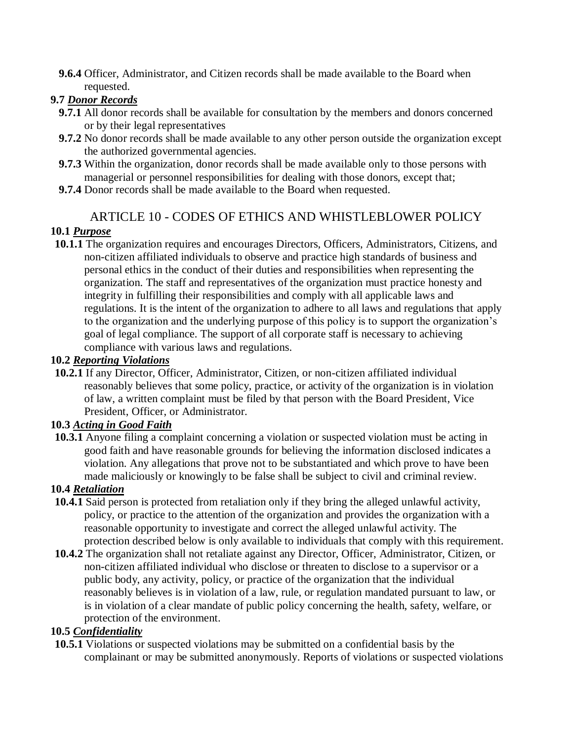**9.6.4** Officer, Administrator, and Citizen records shall be made available to the Board when requested.

#### **9.7** *Donor Records*

- **9.7.1** All donor records shall be available for consultation by the members and donors concerned or by their legal representatives
- **9.7.2** No donor records shall be made available to any other person outside the organization except the authorized governmental agencies.
- **9.7.3** Within the organization, donor records shall be made available only to those persons with managerial or personnel responsibilities for dealing with those donors, except that;
- **9.7.4** Donor records shall be made available to the Board when requested.

# ARTICLE 10 - CODES OF ETHICS AND WHISTLEBLOWER POLICY

# **10.1** *Purpose*

**10.1.1** The organization requires and encourages Directors, Officers, Administrators, Citizens, and non-citizen affiliated individuals to observe and practice high standards of business and personal ethics in the conduct of their duties and responsibilities when representing the organization. The staff and representatives of the organization must practice honesty and integrity in fulfilling their responsibilities and comply with all applicable laws and regulations. It is the intent of the organization to adhere to all laws and regulations that apply to the organization and the underlying purpose of this policy is to support the organization's goal of legal compliance. The support of all corporate staff is necessary to achieving compliance with various laws and regulations.

#### **10.2** *Reporting Violations*

**10.2.1** If any Director, Officer, Administrator, Citizen, or non-citizen affiliated individual reasonably believes that some policy, practice, or activity of the organization is in violation of law, a written complaint must be filed by that person with the Board President, Vice President, Officer, or Administrator.

#### **10.3** *Acting in Good Faith*

**10.3.1** Anyone filing a complaint concerning a violation or suspected violation must be acting in good faith and have reasonable grounds for believing the information disclosed indicates a violation. Any allegations that prove not to be substantiated and which prove to have been made maliciously or knowingly to be false shall be subject to civil and criminal review.

#### **10.4** *Retaliation*

- **10.4.1** Said person is protected from retaliation only if they bring the alleged unlawful activity, policy, or practice to the attention of the organization and provides the organization with a reasonable opportunity to investigate and correct the alleged unlawful activity. The protection described below is only available to individuals that comply with this requirement.
- **10.4.2** The organization shall not retaliate against any Director, Officer, Administrator, Citizen, or non-citizen affiliated individual who disclose or threaten to disclose to a supervisor or a public body, any activity, policy, or practice of the organization that the individual reasonably believes is in violation of a law, rule, or regulation mandated pursuant to law, or is in violation of a clear mandate of public policy concerning the health, safety, welfare, or protection of the environment.

# **10.5** *Confidentiality*

**10.5.1** Violations or suspected violations may be submitted on a confidential basis by the complainant or may be submitted anonymously. Reports of violations or suspected violations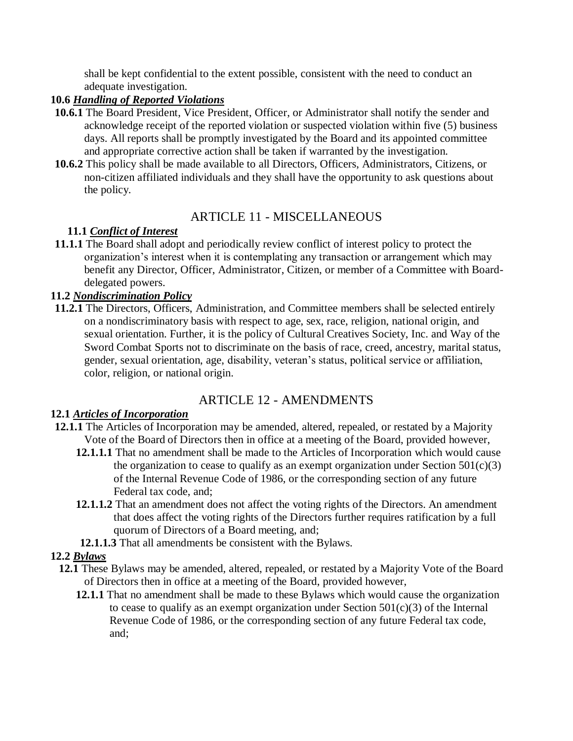shall be kept confidential to the extent possible, consistent with the need to conduct an adequate investigation.

#### **10.6** *Handling of Reported Violations*

- **10.6.1** The Board President, Vice President, Officer, or Administrator shall notify the sender and acknowledge receipt of the reported violation or suspected violation within five (5) business days. All reports shall be promptly investigated by the Board and its appointed committee and appropriate corrective action shall be taken if warranted by the investigation.
- **10.6.2** This policy shall be made available to all Directors, Officers, Administrators, Citizens, or non-citizen affiliated individuals and they shall have the opportunity to ask questions about the policy.

# ARTICLE 11 - MISCELLANEOUS

# **11.1** *Conflict of Interest*

**11.1.1** The Board shall adopt and periodically review conflict of interest policy to protect the organization's interest when it is contemplating any transaction or arrangement which may benefit any Director, Officer, Administrator, Citizen, or member of a Committee with Boarddelegated powers.

#### **11.2** *Nondiscrimination Policy*

**11.2.1** The Directors, Officers, Administration, and Committee members shall be selected entirely on a nondiscriminatory basis with respect to age, sex, race, religion, national origin, and sexual orientation. Further, it is the policy of Cultural Creatives Society, Inc. and Way of the Sword Combat Sports not to discriminate on the basis of race, creed, ancestry, marital status, gender, sexual orientation, age, disability, veteran's status, political service or affiliation, color, religion, or national origin.

# ARTICLE 12 - AMENDMENTS

#### **12.1** *Articles of Incorporation*

- **12.1.1** The Articles of Incorporation may be amended, altered, repealed, or restated by a Majority Vote of the Board of Directors then in office at a meeting of the Board, provided however,
	- **12.1.1.1** That no amendment shall be made to the Articles of Incorporation which would cause the organization to cease to qualify as an exempt organization under Section  $501(c)(3)$ of the Internal Revenue Code of 1986, or the corresponding section of any future Federal tax code, and;
	- **12.1.1.2** That an amendment does not affect the voting rights of the Directors. An amendment that does affect the voting rights of the Directors further requires ratification by a full quorum of Directors of a Board meeting, and;
	- **12.1.1.3** That all amendments be consistent with the Bylaws.

#### **12.2** *Bylaws*

- **12.1** These Bylaws may be amended, altered, repealed, or restated by a Majority Vote of the Board of Directors then in office at a meeting of the Board, provided however,
	- **12.1.1** That no amendment shall be made to these Bylaws which would cause the organization to cease to qualify as an exempt organization under Section  $501(c)(3)$  of the Internal Revenue Code of 1986, or the corresponding section of any future Federal tax code, and;